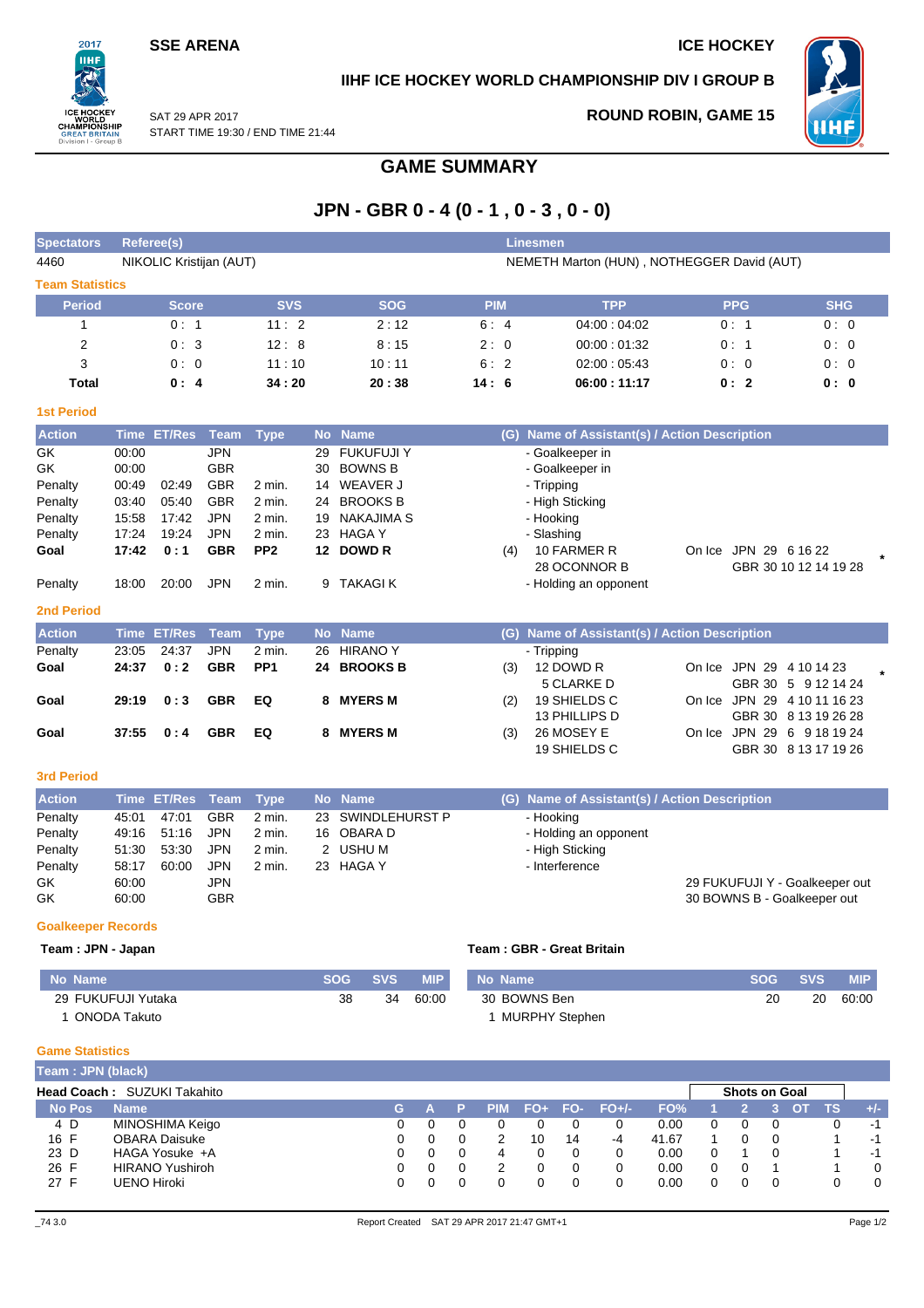# **SSE ARENA ICE HOCKEY**

 $2017$ nы

## **IIHF ICE HOCKEY WORLD CHAMPIONSHIP DIV I GROUP B**

**ROUND ROBIN, GAME 15**



On Ice JPN 29 4 10 11 16 23 GBR 30 8 13 19 26 28

On Ice JPN 29 6 9 18 19 24 GBR 30 8 13 17 19 26

SAT 29 APR 2017 START TIME 19:30 / END TIME 21:44

# **GAME SUMMARY**

# **JPN - GBR 0 - 4 (0 - 1 , 0 - 3 , 0 - 0)**

| <b>Spectators</b>      |       | Referee(s)              |            |             |    |                |            | Linesmen                                      |            |            |
|------------------------|-------|-------------------------|------------|-------------|----|----------------|------------|-----------------------------------------------|------------|------------|
| 4460                   |       | NIKOLIC Kristijan (AUT) |            |             |    |                |            | NEMETH Marton (HUN), NOTHEGGER David (AUT)    |            |            |
| <b>Team Statistics</b> |       |                         |            |             |    |                |            |                                               |            |            |
| <b>Period</b>          |       | <b>Score</b>            |            | <b>SVS</b>  |    | <b>SOG</b>     | <b>PIM</b> | <b>TPP</b>                                    | <b>PPG</b> | <b>SHG</b> |
|                        |       | 0:1                     |            | 11:2        |    | 2:12           | 6:4        | 04.00:04.02                                   | 0:1        | 0:0        |
| 2                      |       | 0:3                     |            | 12:8        |    | 8:15           | 2:0        | 00:00:01:32                                   | 0:1        | 0:0        |
| 3                      |       | 0:0                     |            | 11:10       |    | 10:11          | 6:2        | 02:00:05:43                                   | 0:0        | 0:0        |
| Total                  |       | 0:4                     |            | 34:20       |    | 20:38          | 14:6       | 06:00:11:17                                   | 0:2        | 0: 0       |
| <b>1st Period</b>      |       |                         |            |             |    |                |            |                                               |            |            |
| <b>Action</b>          |       | Time ET/Res             | Team       | <b>Type</b> |    | No Name        |            | (G) Name of Assistant(s) / Action Description |            |            |
| GK                     | 00:00 |                         | JPN        |             | 29 | FUKUFUJI Y     |            | - Goalkeeper in                               |            |            |
| GK                     | 00:00 |                         | <b>GBR</b> |             | 30 | <b>BOWNS B</b> |            | - Goalkeeper in                               |            |            |

| Penalty<br>Penalty<br>Penalty<br>Penalty<br>Goal<br>Penalty<br><b>2nd Period</b> | 00:49<br>03:40<br>15:58<br>17:24<br>17:42<br>18:00 | 02:49<br>05:40<br>17:42<br>19:24<br>0:1<br>20:00 | <b>GBR</b><br><b>GBR</b><br><b>JPN</b><br><b>JPN</b><br><b>GBR</b><br><b>JPN</b> | $2 \text{ min}$ .<br>2 min.<br>2 min.<br>2 min.<br>PP <sub>2</sub><br>2 min. | 24<br>19<br>23<br>9 | 14 WEAVER J<br><b>BROOKS B</b><br>NAKAJIMA S<br>HAGA Y<br>12 DOWD R<br>TAKAGI K | (4) | - Tripping<br>- High Sticking<br>- Hooking<br>- Slashing<br>10 FARMER R<br>28 OCONNOR B<br>- Holding an opponent | On Ice | JPN 29 6 16 22<br>GBR 30 10 12 14 19 28        | $\star$ |
|----------------------------------------------------------------------------------|----------------------------------------------------|--------------------------------------------------|----------------------------------------------------------------------------------|------------------------------------------------------------------------------|---------------------|---------------------------------------------------------------------------------|-----|------------------------------------------------------------------------------------------------------------------|--------|------------------------------------------------|---------|
| <b>Action</b>                                                                    |                                                    | Time ET/Res Team                                 |                                                                                  | <b>Type</b>                                                                  |                     | No Name                                                                         |     | (G) Name of Assistant(s) / Action Description                                                                    |        |                                                |         |
| Penalty<br>Goal                                                                  | 23:05<br>24:37                                     | 24:37<br>0:2                                     | <b>JPN</b><br><b>GBR</b>                                                         | 2 min.<br>PP <sub>1</sub>                                                    | 26<br>24            | <b>HIRANO Y</b><br><b>BROOKS B</b>                                              | (3) | - Tripping<br>12 DOWD R<br>5 CLARKE D                                                                            | On Ice | JPN 29<br>4 10 14 23<br>GBR 30<br>5 9 12 14 24 | ÷       |

### **3rd Period Action Time ET/Res Team Type No Name (G) Name of Assistant(s) / Action Description** Penalty 45:01 47:01 GBR 2 min. 23 SWINDLEHURST P - Hooking Penalty 49:16 51:16 JPN 2 min. 16 OBARA D - Holding an opponent Penalty 51:30 53:30 JPN 2 min. 2 USHU M - High Sticking<br>
Penalty 58:17 60:00 JPN 2 min. 23 HAGA Y - - - - - - - - Interference Penalty 58:17 60:00 JPN 2 min. 23 HAGA Y - Interference<br>GK 60:00 JPN 29 FUKUFUJI Y - Goalkeeper out

**Goal 29:19 0 : 3 GBR EQ 8 MYERS M** (2) 19 SHIELDS C

**Goal 37:55 0 : 4 GBR EQ 8 MYERS M** (3) 26 MOSEY E

#### **Goalkeeper Records**

#### **Team : JPN - Japan Team : GBR - Great Britain**

|  |  | SOG SVS MIP No Name | SOG SVS MIP |  |
|--|--|---------------------|-------------|--|

13 PHILLIPS D

19 SHIELDS C

| No Name            | <b>SOG</b> | <b>SVS</b> | <b>MIP</b> | No Name               | <b>SOG</b> | <b>SVS</b> | <b>MIP</b> |
|--------------------|------------|------------|------------|-----------------------|------------|------------|------------|
| 29 FUKUFUJI Yutaka | 38         | 34         | 60:00      | 30 BOWNS Ben          |            | 20         | 60:00      |
| ONODA Takuto       |            |            |            | <b>MURPHY Stephen</b> |            |            |            |

GK 60:00 GBR 60:00 GBR 50 BOWNS B - Goalkeeper out

## **Game Statistics**

|               | Team: JPN (black)                  |    |  |            |     |     |         |       |                      |  |     |       |
|---------------|------------------------------------|----|--|------------|-----|-----|---------|-------|----------------------|--|-----|-------|
|               | <b>Head Coach: SUZUKI Takahito</b> |    |  |            |     |     |         |       | <b>Shots on Goal</b> |  |     |       |
| <b>No Pos</b> | <b>Name</b>                        | G. |  | <b>PIM</b> | FO+ | FO- | $FO+/-$ | FO%   |                      |  | TS. | $+/-$ |
| 4 D           | MINOSHIMA Keigo                    |    |  |            |     |     |         | 0.00  | 0                    |  |     | -1    |
| 16 F          | <b>OBARA Daisuke</b>               |    |  |            | 10  | 14  | -4      | 41.67 |                      |  |     | -1    |
| 23 D          | HAGA Yosuke +A                     |    |  | 4          |     |     | 0       | 0.00  |                      |  |     | -1    |
| 26 F          | <b>HIRANO Yushiroh</b>             |    |  |            |     |     | 0       | 0.00  |                      |  |     |       |
| 27 F          | <b>UENO Hiroki</b>                 |    |  |            |     |     |         | 0.00  |                      |  |     |       |